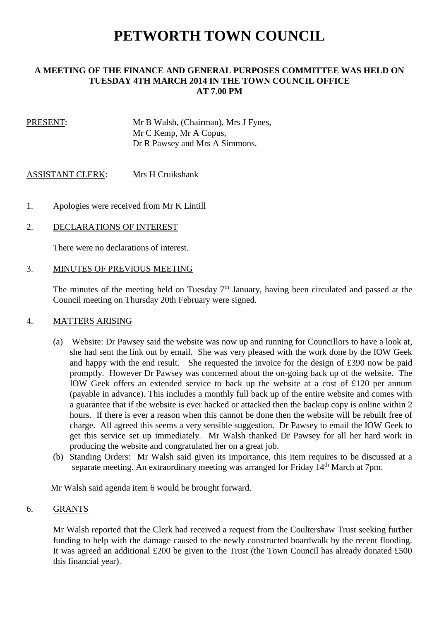# **PETWORTH TOWN COUNCIL**

## **A MEETING OF THE FINANCE AND GENERAL PURPOSES COMMITTEE WAS HELD ON TUESDAY 4TH MARCH 2014 IN THE TOWN COUNCIL OFFICE AT 7.00 PM**

PRESENT: Mr B Walsh, (Chairman), Mrs J Fynes, Mr C Kemp, Mr A Copus, Dr R Pawsey and Mrs A Simmons.

ASSISTANT CLERK: Mrs H Cruikshank

- 1. Apologies were received from Mr K Lintill
- 2. DECLARATIONS OF INTEREST

There were no declarations of interest.

## 3. MINUTES OF PREVIOUS MEETING

The minutes of the meeting held on Tuesday  $7<sup>th</sup>$  January, having been circulated and passed at the Council meeting on Thursday 20th February were signed.

#### 4. MATTERS ARISING

- (a) Website: Dr Pawsey said the website was now up and running for Councillors to have a look at, she had sent the link out by email. She was very pleased with the work done by the IOW Geek and happy with the end result. She requested the invoice for the design of £390 now be paid promptly. However Dr Pawsey was concerned about the on-going back up of the website. The IOW Geek offers an extended service to back up the website at a cost of £120 per annum (payable in advance). This includes a monthly full back up of the entire website and comes with a guarantee that if the website is ever hacked or attacked then the backup copy is online within 2 hours. If there is ever a reason when this cannot be done then the website will be rebuilt free of charge. All agreed this seems a very sensible suggestion. Dr Pawsey to email the IOW Geek to get this service set up immediately. Mr Walsh thanked Dr Pawsey for all her hard work in producing the website and congratulated her on a great job.
- (b) Standing Orders: Mr Walsh said given its importance, this item requires to be discussed at a separate meeting. An extraordinary meeting was arranged for Friday 14<sup>th</sup> March at 7pm.

Mr Walsh said agenda item 6 would be brought forward.

#### 6. GRANTS

 Mr Walsh reported that the Clerk had received a request from the Coultershaw Trust seeking further funding to help with the damage caused to the newly constructed boardwalk by the recent flooding. It was agreed an additional £200 be given to the Trust (the Town Council has already donated £500 this financial year).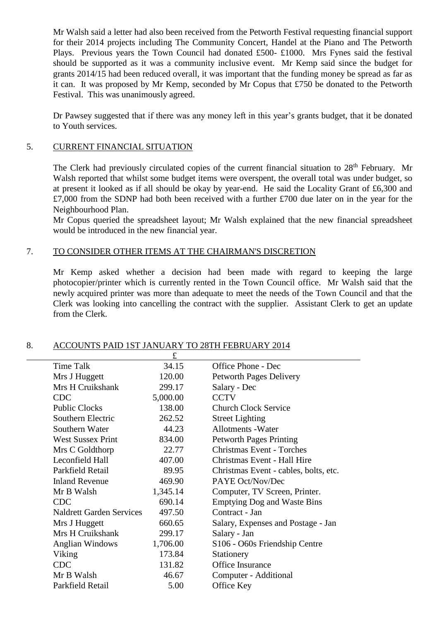Mr Walsh said a letter had also been received from the Petworth Festival requesting financial support for their 2014 projects including The Community Concert, Handel at the Piano and The Petworth Plays. Previous years the Town Council had donated £500- £1000. Mrs Fynes said the festival should be supported as it was a community inclusive event. Mr Kemp said since the budget for grants 2014/15 had been reduced overall, it was important that the funding money be spread as far as it can. It was proposed by Mr Kemp, seconded by Mr Copus that £750 be donated to the Petworth Festival. This was unanimously agreed.

 Dr Pawsey suggested that if there was any money left in this year's grants budget, that it be donated to Youth services.

## 5. CURRENT FINANCIAL SITUATION

The Clerk had previously circulated copies of the current financial situation to 28<sup>th</sup> February. Mr Walsh reported that whilst some budget items were overspent, the overall total was under budget, so at present it looked as if all should be okay by year-end. He said the Locality Grant of £6,300 and £7,000 from the SDNP had both been received with a further £700 due later on in the year for the Neighbourhood Plan.

 Mr Copus queried the spreadsheet layout; Mr Walsh explained that the new financial spreadsheet would be introduced in the new financial year.

#### 7. TO CONSIDER OTHER ITEMS AT THE CHAIRMAN'S DISCRETION

 Mr Kemp asked whether a decision had been made with regard to keeping the large photocopier/printer which is currently rented in the Town Council office. Mr Walsh said that the newly acquired printer was more than adequate to meet the needs of the Town Council and that the Clerk was looking into cancelling the contract with the supplier. Assistant Clerk to get an update from the Clerk.

|                                 | $\pounds$ |                                                       |
|---------------------------------|-----------|-------------------------------------------------------|
| Time Talk                       | 34.15     | Office Phone - Dec                                    |
| Mrs J Huggett                   | 120.00    | <b>Petworth Pages Delivery</b>                        |
| Mrs H Cruikshank                | 299.17    | Salary - Dec                                          |
| <b>CDC</b>                      | 5,000.00  | <b>CCTV</b>                                           |
| <b>Public Clocks</b>            | 138.00    | <b>Church Clock Service</b>                           |
| Southern Electric               | 262.52    | <b>Street Lighting</b>                                |
| Southern Water                  | 44.23     | <b>Allotments - Water</b>                             |
| <b>West Sussex Print</b>        | 834.00    | <b>Petworth Pages Printing</b>                        |
| Mrs C Goldthorp                 | 22.77     | <b>Christmas Event - Torches</b>                      |
| Leconfield Hall                 | 407.00    | Christmas Event - Hall Hire                           |
| Parkfield Retail                | 89.95     | Christmas Event - cables, bolts, etc.                 |
| <b>Inland Revenue</b>           | 469.90    | PAYE Oct/Nov/Dec                                      |
| Mr B Walsh                      | 1,345.14  | Computer, TV Screen, Printer.                         |
| <b>CDC</b>                      | 690.14    | <b>Emptying Dog and Waste Bins</b>                    |
| <b>Naldrett Garden Services</b> | 497.50    | Contract - Jan                                        |
| Mrs J Huggett                   | 660.65    | Salary, Expenses and Postage - Jan                    |
| Mrs H Cruikshank                | 299.17    | Salary - Jan                                          |
| <b>Anglian Windows</b>          | 1,706.00  | S <sub>106</sub> - O <sub>60s</sub> Friendship Centre |
| Viking                          | 173.84    | Stationery                                            |
| <b>CDC</b>                      | 131.82    | Office Insurance                                      |
| Mr B Walsh                      | 46.67     | Computer - Additional                                 |
| Parkfield Retail                | 5.00      | Office Key                                            |
|                                 |           |                                                       |

## 8. ACCOUNTS PAID 1ST JANUARY TO 28TH FEBRUARY 2014